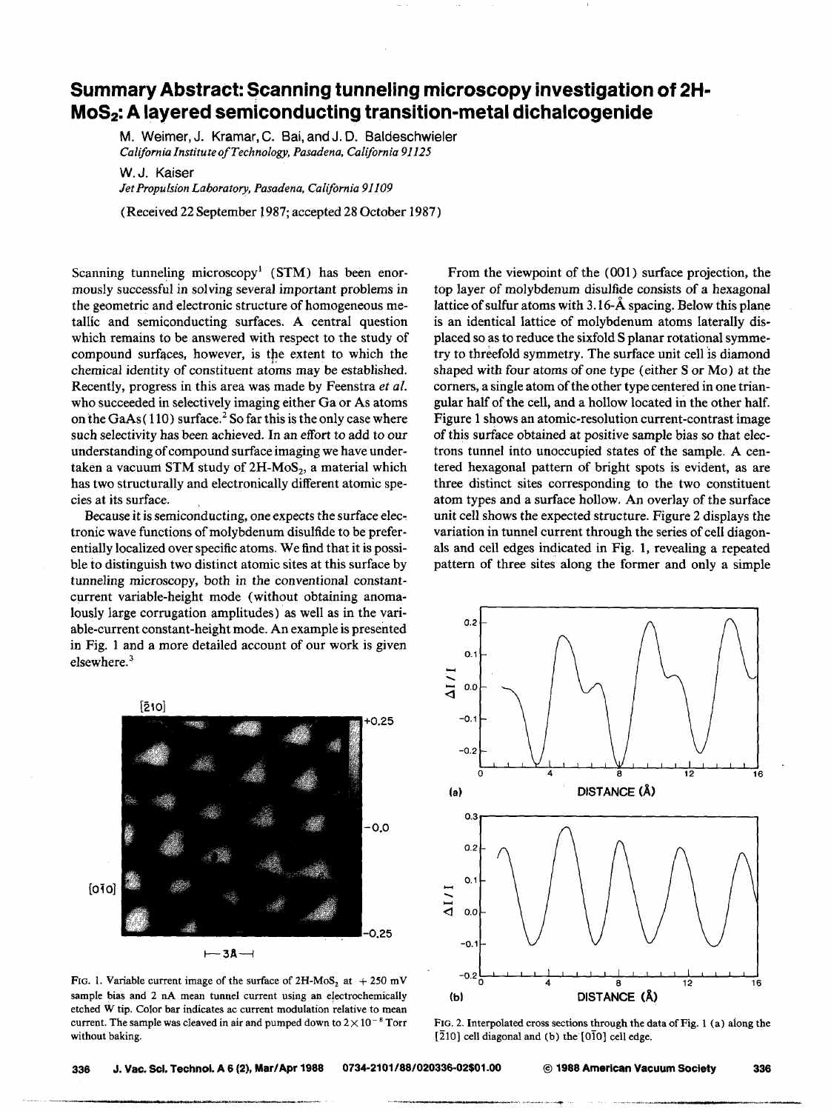## **Summary Abstract: Scanning tunneling microscopy investigation of 2H-MoS2: A layered semiconducting transition-metal dichalcogenide**

M. Weimer, J. Kramar, C. Bai, and J.D. Baldeschwieler *CalifornialnstituteofTechnology, Pasadena. California 91125* 

W.J. Kaiser

*Jet Propulsion Laborato1")l. Pasadena. California 91109* 

(Received 22 September 1987; accepted 28 October 1987)

Scanning tunneling microscopy<sup>1</sup> (STM) has been enormously successful in solving several important problems in the geometric and electronic structure of homogeneous metallic and semiconducting surfaces. A central question which remains to be answered with respect to the study of compound surfaces, however, is the extent to which the chemical identity of constituent atoms may be established. Recently, progress in this area was made by Feenstra *et al.*  who succeeded in selectively imaging either Ga or As atoms on the GaAs  $(110)$  surface.<sup>2</sup> So far this is the only case where such selectivity has been achieved. In an effort to add to our understanding of compound surface imaging we have undertaken a vacuum STM study of  $2H-MoS<sub>2</sub>$ , a material which has two structurally and electronically different atomic species at its surface.

Because it is semiconducting, one expects the surface electronic wave functions of molybdenum disulfide to be preferentially localized over specific atoms. We find that it is possible to distinguish two distinct atomic sites at this surface by tunneling microscopy, both in the conventional constantcurrent variable-height mode (without obtaining anomalously large corrugation amplitudes) as well as in the variable-current constant-height mode. An example is presented in Fig. 1 and a more detailed account of our work is given elsewhere. 3

From the viewpoint of the (001) surface projection, the top layer of molybdenum disulfide consists of a hexagonal lattice of sulfur atoms with 3.16- $\AA$  spacing. Below this plane is an identical lattice of molybdenum atoms laterally displaced so as to reduce the sixfold S planar rotational symmetry to threefold symmetry. The surface unit cell is diamond shaped with four atoms of one type (either S or Mo) at the corners, a single atom of the other type centered in one triangular half of the cell, and a hollow located in the other half. Figure 1 shows an atomic-resolution current-contrast image of this surface obtained at positive sample bias so that electrons tunnel into unoccupied states of the sample. A centered hexagonal pattern of bright spots is evident, as are three distinct sites corresponding to the two constituent atom types and a surface hollow. An overlay of the surface unit cell shows the expected structure. Figure 2 displays the variation in tunnel current through the series of cell diagonals and cell edges indicated in Fig. 1, revealing a repeated pattern of three sites along the former and only a simple



FIG. 1. Variable current image of the surface of 2H-MoS<sub>2</sub> at  $+250$  mV sample bias and 2 nA mean tunnel current using an electrochemically etched W tip. Color bar indicates ac current modulation relative to mean current. The sample was cleaved in air and pumped down to  $2 \times 10^{-8}$  Torr without baking.



FIG. 2. Interpolated cross sections through the data of Fig. l (a) along the  $[210]$  cell diagonal and (b) the  $[0\bar{1}0]$  cell edge.

-----··-"··---